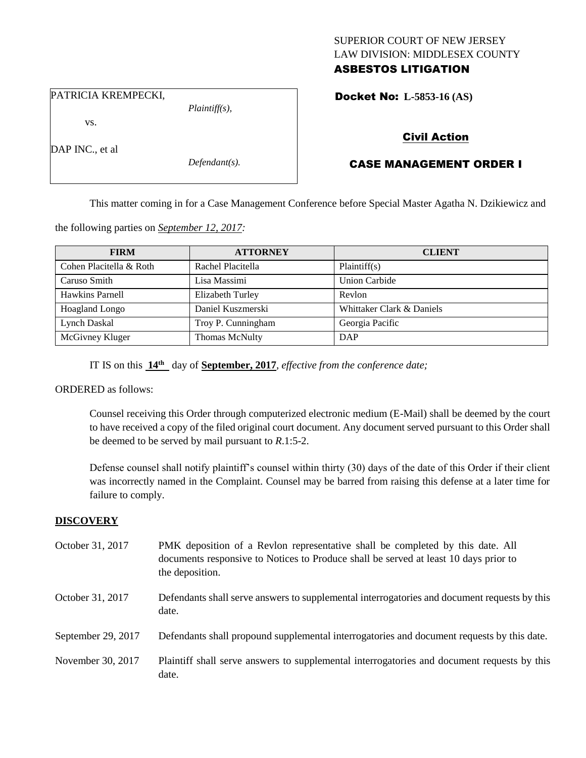## SUPERIOR COURT OF NEW JERSEY LAW DIVISION: MIDDLESEX COUNTY ASBESTOS LITIGATION

PATRICIA KREMPECKI,

vs.

DAP INC., et al

*Defendant(s).*

*Plaintiff(s),*

## Docket No: **L-5853-16 (AS)**

# Civil Action

# CASE MANAGEMENT ORDER I

This matter coming in for a Case Management Conference before Special Master Agatha N. Dzikiewicz and

the following parties on *September 12, 2017:*

| <b>FIRM</b>             | <b>ATTORNEY</b>         | <b>CLIENT</b>             |
|-------------------------|-------------------------|---------------------------|
| Cohen Placitella & Roth | Rachel Placitella       | Plaintiff(s)              |
| Caruso Smith            | Lisa Massimi            | <b>Union Carbide</b>      |
| Hawkins Parnell         | <b>Elizabeth Turley</b> | Revlon                    |
| <b>Hoagland Longo</b>   | Daniel Kuszmerski       | Whittaker Clark & Daniels |
| Lynch Daskal            | Troy P. Cunningham      | Georgia Pacific           |
| McGivney Kluger         | <b>Thomas McNulty</b>   | DAP                       |

IT IS on this **14th** day of **September, 2017**, *effective from the conference date;*

ORDERED as follows:

Counsel receiving this Order through computerized electronic medium (E-Mail) shall be deemed by the court to have received a copy of the filed original court document. Any document served pursuant to this Order shall be deemed to be served by mail pursuant to *R*.1:5-2.

Defense counsel shall notify plaintiff's counsel within thirty (30) days of the date of this Order if their client was incorrectly named in the Complaint. Counsel may be barred from raising this defense at a later time for failure to comply.

## **DISCOVERY**

October 31, 2017 PMK deposition of a Revlon representative shall be completed by this date. All documents responsive to Notices to Produce shall be served at least 10 days prior to the deposition. October 31, 2017 Defendants shall serve answers to supplemental interrogatories and document requests by this date. September 29, 2017 Defendants shall propound supplemental interrogatories and document requests by this date. November 30, 2017 Plaintiff shall serve answers to supplemental interrogatories and document requests by this date.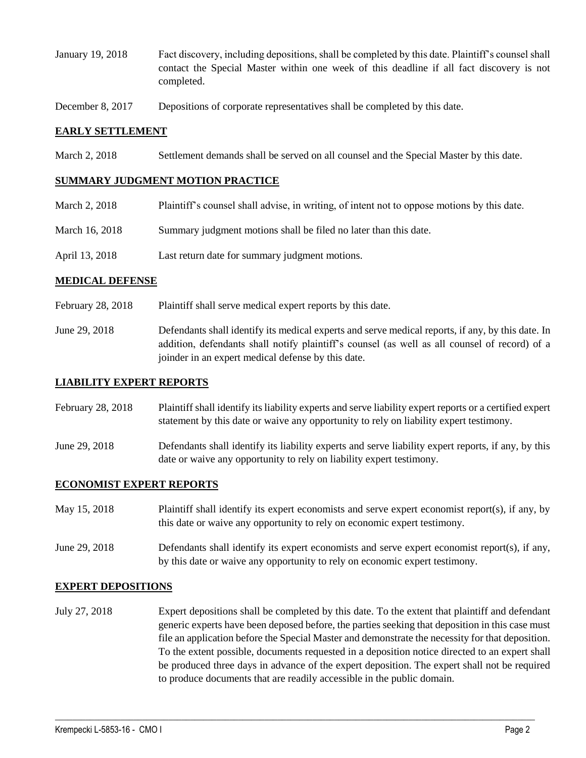- January 19, 2018 Fact discovery, including depositions, shall be completed by this date. Plaintiff's counsel shall contact the Special Master within one week of this deadline if all fact discovery is not completed.
- December 8, 2017 Depositions of corporate representatives shall be completed by this date.

#### **EARLY SETTLEMENT**

March 2, 2018 Settlement demands shall be served on all counsel and the Special Master by this date.

#### **SUMMARY JUDGMENT MOTION PRACTICE**

- March 2, 2018 Plaintiff's counsel shall advise, in writing, of intent not to oppose motions by this date.
- March 16, 2018 Summary judgment motions shall be filed no later than this date.
- April 13, 2018 Last return date for summary judgment motions.

#### **MEDICAL DEFENSE**

- February 28, 2018 Plaintiff shall serve medical expert reports by this date.
- June 29, 2018 Defendants shall identify its medical experts and serve medical reports, if any, by this date. In addition, defendants shall notify plaintiff's counsel (as well as all counsel of record) of a joinder in an expert medical defense by this date.

#### **LIABILITY EXPERT REPORTS**

February 28, 2018 Plaintiff shall identify its liability experts and serve liability expert reports or a certified expert statement by this date or waive any opportunity to rely on liability expert testimony.

June 29, 2018 Defendants shall identify its liability experts and serve liability expert reports, if any, by this date or waive any opportunity to rely on liability expert testimony.

## **ECONOMIST EXPERT REPORTS**

| May 15, 2018  | Plaintiff shall identify its expert economists and serve expert economist report(s), if any, by<br>this date or waive any opportunity to rely on economic expert testimony. |
|---------------|-----------------------------------------------------------------------------------------------------------------------------------------------------------------------------|
| June 29, 2018 | Defendants shall identify its expert economists and serve expert economist report $(s)$ , if any,                                                                           |

by this date or waive any opportunity to rely on economic expert testimony.

## **EXPERT DEPOSITIONS**

July 27, 2018 Expert depositions shall be completed by this date. To the extent that plaintiff and defendant generic experts have been deposed before, the parties seeking that deposition in this case must file an application before the Special Master and demonstrate the necessity for that deposition. To the extent possible, documents requested in a deposition notice directed to an expert shall be produced three days in advance of the expert deposition. The expert shall not be required to produce documents that are readily accessible in the public domain.

 $\_$  ,  $\_$  ,  $\_$  ,  $\_$  ,  $\_$  ,  $\_$  ,  $\_$  ,  $\_$  ,  $\_$  ,  $\_$  ,  $\_$  ,  $\_$  ,  $\_$  ,  $\_$  ,  $\_$  ,  $\_$  ,  $\_$  ,  $\_$  ,  $\_$  ,  $\_$  ,  $\_$  ,  $\_$  ,  $\_$  ,  $\_$  ,  $\_$  ,  $\_$  ,  $\_$  ,  $\_$  ,  $\_$  ,  $\_$  ,  $\_$  ,  $\_$  ,  $\_$  ,  $\_$  ,  $\_$  ,  $\_$  ,  $\_$  ,